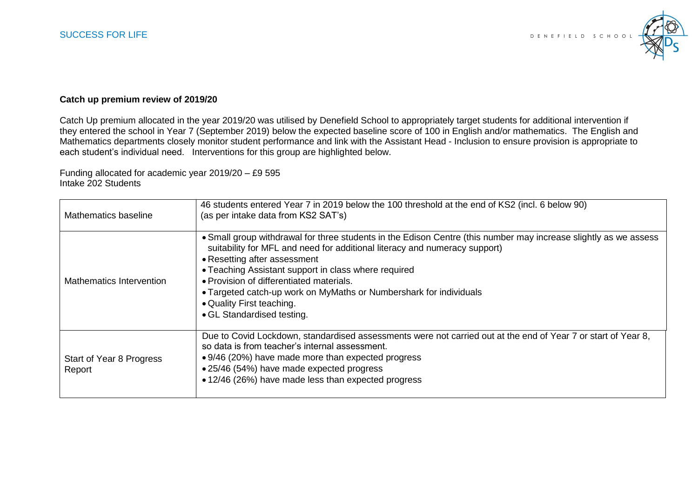

## **Catch up premium review of 2019/20**

Catch Up premium allocated in the year 2019/20 was utilised by Denefield School to appropriately target students for additional intervention if they entered the school in Year 7 (September 2019) below the expected baseline score of 100 in English and/or mathematics. The English and Mathematics departments closely monitor student performance and link with the Assistant Head - Inclusion to ensure provision is appropriate to each student's individual need. Interventions for this group are highlighted below.

Funding allocated for academic year 2019/20 – £9 595 Intake 202 Students

| Mathematics baseline               | 46 students entered Year 7 in 2019 below the 100 threshold at the end of KS2 (incl. 6 below 90)<br>(as per intake data from KS2 SAT's)                                                                                                                                                                                                                                                                                                                              |
|------------------------------------|---------------------------------------------------------------------------------------------------------------------------------------------------------------------------------------------------------------------------------------------------------------------------------------------------------------------------------------------------------------------------------------------------------------------------------------------------------------------|
| Mathematics Intervention           | • Small group withdrawal for three students in the Edison Centre (this number may increase slightly as we assess<br>suitability for MFL and need for additional literacy and numeracy support)<br>• Resetting after assessment<br>• Teaching Assistant support in class where required<br>• Provision of differentiated materials.<br>• Targeted catch-up work on MyMaths or Numbershark for individuals<br>• Quality First teaching.<br>• GL Standardised testing. |
| Start of Year 8 Progress<br>Report | Due to Covid Lockdown, standardised assessments were not carried out at the end of Year 7 or start of Year 8,<br>so data is from teacher's internal assessment.<br>• 9/46 (20%) have made more than expected progress<br>• 25/46 (54%) have made expected progress<br>• 12/46 (26%) have made less than expected progress                                                                                                                                           |